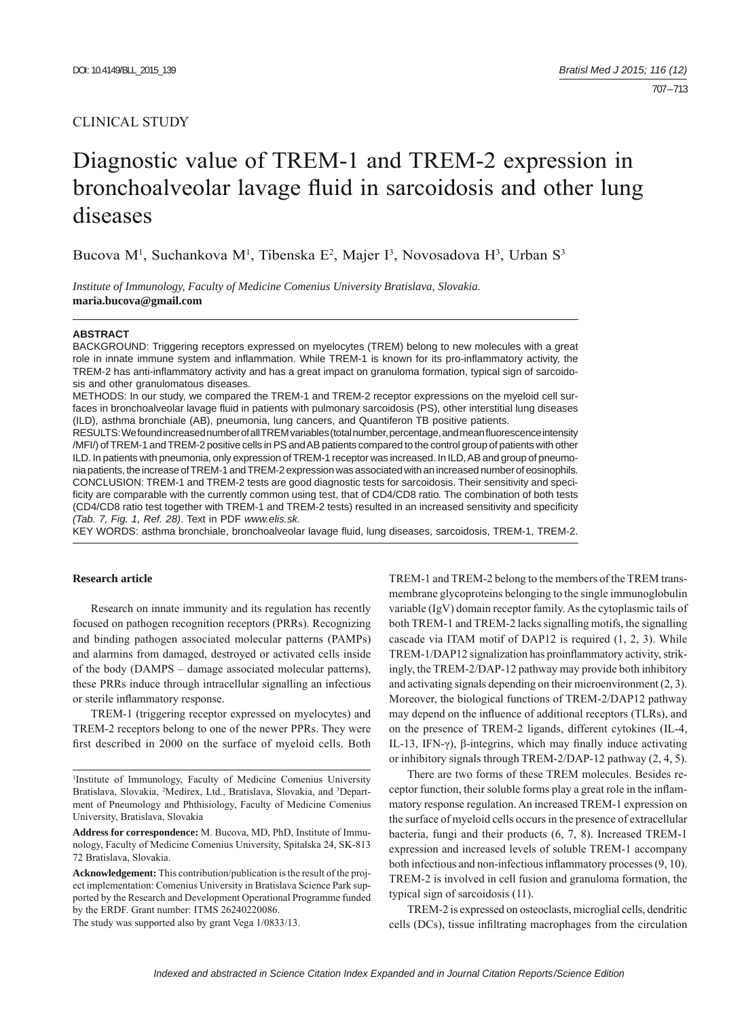# CLINICAL STUDY

# Diagnostic value of TREM-1 and TREM-2 expression in bronchoalveolar lavage fluid in sarcoidosis and other lung diseases

Bucova M<sup>1</sup>, Suchankova M<sup>1</sup>, Tibenska E<sup>2</sup>, Majer I<sup>3</sup>, Novosadova H<sup>3</sup>, Urban S<sup>3</sup>

*Institute of Immunology, Faculty of Medicine Comenius University Bratislava, Slovakia.*  **maria.bucova@gmail.com**

#### **ABSTRACT**

BACKGROUND: Triggering receptors expressed on myelocytes (TREM) belong to new molecules with a great role in innate immune system and inflammation. While TREM-1 is known for its pro-inflammatory activity, the TREM-2 has anti-inflammatory activity and has a great impact on granuloma formation, typical sign of sarcoidosis and other granulomatous diseases.

METHODS: In our study, we compared the TREM-1 and TREM-2 receptor expressions on the myeloid cell surfaces in bronchoalveolar lavage fluid in patients with pulmonary sarcoidosis (PS), other interstitial lung diseases (ILD), asthma bronchiale (AB), pneumonia, lung cancers, and Quantiferon TB positive patients.

RESULTS: We found increased number of all TREM variables (total number, percentage, and mean fluorescence intensity /MFI/) of TREM-1 and TREM-2 positive cells in PS and AB patients compared to the control group of patients with other ILD. In patients with pneumonia, only expression of TREM-1 receptor was increased. In ILD, AB and group of pneumonia patients, the increase of TREM-1 and TREM-2 expression was associated with an increased number of eosinophils. CONCLUSION: TREM-1 and TREM-2 tests are good diagnostic tests for sarcoidosis. Their sensitivity and specificity are comparable with the currently common using test, that of CD4/CD8 ratio. The combination of both tests (CD4/CD8 ratio test together with TREM-1 and TREM-2 tests) resulted in an increased sensitivity and specificity *(Tab. 7, Fig. 1, Ref. 28)*. Text in PDF *www.elis.sk.*

KEY WORDS: asthma bronchiale, bronchoalveolar lavage fluid, lung diseases, sarcoidosis, TREM-1, TREM-2.

## **Research article**

Research on innate immunity and its regulation has recently focused on pathogen recognition receptors (PRRs). Recognizing and binding pathogen associated molecular patterns (PAMPs) and alarmins from damaged, destroyed or activated cells inside of the body (DAMPS – damage associated molecular patterns), these PRRs induce through intracellular signalling an infectious or sterile inflammatory response.

TREM-1 (triggering receptor expressed on myelocytes) and TREM-2 receptors belong to one of the newer PPRs. They were first described in 2000 on the surface of myeloid cells. Both

**Address for correspondence:** M. Bucova, MD, PhD, Institute of Immunology, Faculty of Medicine Comenius University, Spitalska 24, SK-813 72 Bratislava, Slovakia.

**Acknowledgement:** This contribution/publication is the result of the project implementation: Comenius University in Bratislava Science Park supported by the Research and Development Operational Programme funded by the ERDF. Grant number: ITMS 26240220086.

The study was supported also by grant Vega 1/0833/13.

TREM-1 and TREM-2 belong to the members of the TREM transmembrane glycoproteins belonging to the single immunoglobulin variable (IgV) domain receptor family. As the cytoplasmic tails of both TREM-1 and TREM-2 lacks signalling motifs, the signalling cascade via ITAM motif of DAP12 is required (1, 2, 3). While TREM-1/DAP12 signalization has proinflammatory activity, strikingly, the TREM-2/DAP-12 pathway may provide both inhibitory and activating signals depending on their microenvironment (2, 3). Moreover, the biological functions of TREM-2/DAP12 pathway may depend on the influence of additional receptors (TLRs), and on the presence of TREM-2 ligands, different cytokines (IL-4, IL-13, IFN-γ), β-integrins, which may finally induce activating or inhibitory signals through TREM-2/DAP-12 pathway (2, 4, 5).

There are two forms of these TREM molecules. Besides receptor function, their soluble forms play a great role in the inflammatory response regulation. An increased TREM-1 expression on the surface of myeloid cells occurs in the presence of extracellular bacteria, fungi and their products (6, 7, 8). Increased TREM-1 expression and increased levels of soluble TREM-1 accompany both infectious and non-infectious inflammatory processes (9, 10). TREM-2 is involved in cell fusion and granuloma formation, the typical sign of sarcoidosis (11).

TREM-2 is expressed on osteoclasts, microglial cells, dendritic cells (DCs), tissue infiltrating macrophages from the circulation

<sup>1</sup> Institute of Immunology, Faculty of Medicine Comenius University Bratislava, Slovakia, <sup>2</sup>Medirex, Ltd., Bratislava, Slovakia, and <sup>3</sup>Department of Pneumology and Phthisiology, Faculty of Medicine Comenius University, Bratislava, Slovakia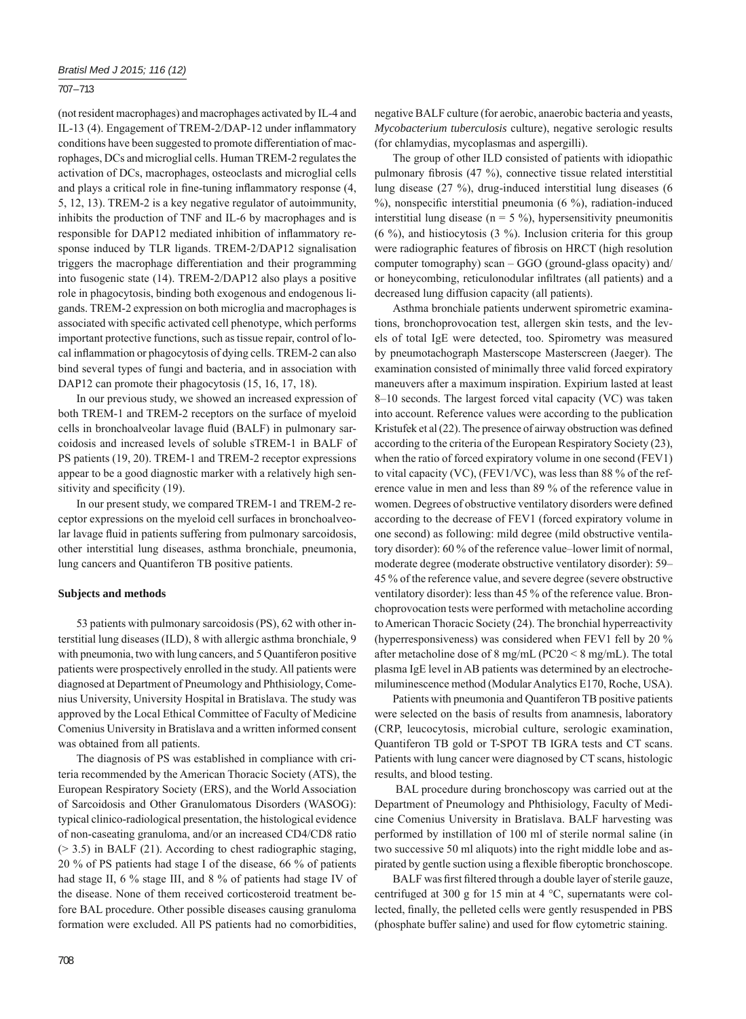## 707 – 713

(not resident macrophages) and macrophages activated by IL-4 and IL-13 (4). Engagement of TREM-2/DAP-12 under inflammatory conditions have been suggested to promote differentiation of macrophages, DCs and microglial cells. Human TREM-2 regulates the activation of DCs, macrophages, osteoclasts and microglial cells and plays a critical role in fine-tuning inflammatory response (4, 5, 12, 13). TREM-2 is a key negative regulator of autoimmunity, inhibits the production of TNF and IL-6 by macrophages and is responsible for DAP12 mediated inhibition of inflammatory response induced by TLR ligands. TREM-2/DAP12 signalisation triggers the macrophage differentiation and their programming into fusogenic state (14). TREM-2/DAP12 also plays a positive role in phagocytosis, binding both exogenous and endogenous ligands. TREM-2 expression on both microglia and macrophages is associated with specific activated cell phenotype, which performs important protective functions, such as tissue repair, control of local inflammation or phagocytosis of dying cells. TREM-2 can also bind several types of fungi and bacteria, and in association with DAP12 can promote their phagocytosis (15, 16, 17, 18).

In our previous study, we showed an increased expression of both TREM-1 and TREM-2 receptors on the surface of myeloid cells in bronchoalveolar lavage fluid (BALF) in pulmonary sarcoidosis and increased levels of soluble sTREM-1 in BALF of PS patients (19, 20). TREM-1 and TREM-2 receptor expressions appear to be a good diagnostic marker with a relatively high sensitivity and specificity (19).

In our present study, we compared TREM-1 and TREM-2 receptor expressions on the myeloid cell surfaces in bronchoalveolar lavage fluid in patients suffering from pulmonary sarcoidosis, other interstitial lung diseases, asthma bronchiale, pneumonia, lung cancers and Quantiferon TB positive patients.

#### **Subjects and methods**

53 patients with pulmonary sarcoidosis (PS), 62 with other interstitial lung diseases (ILD), 8 with allergic asthma bronchiale, 9 with pneumonia, two with lung cancers, and 5 Quantiferon positive patients were prospectively enrolled in the study. All patients were diagnosed at Department of Pneumology and Phthisiology, Comenius University, University Hospital in Bratislava. The study was approved by the Local Ethical Committee of Faculty of Medicine Comenius University in Bratislava and a written informed consent was obtained from all patients.

The diagnosis of PS was established in compliance with criteria recommended by the American Thoracic Society (ATS), the European Respiratory Society (ERS), and the World Association of Sarcoidosis and Other Granulomatous Disorders (WASOG): typical clinico-radiological presentation, the histological evidence of non-caseating granuloma, and/or an increased CD4/CD8 ratio  $(> 3.5)$  in BALF (21). According to chest radiographic staging, 20 % of PS patients had stage I of the disease, 66 % of patients had stage II, 6 % stage III, and 8 % of patients had stage IV of the disease. None of them received corticosteroid treatment before BAL procedure. Other possible diseases causing granuloma formation were excluded. All PS patients had no comorbidities,

negative BALF culture (for aerobic, anaerobic bacteria and yeasts, *Mycobacterium tuberculosis* culture), negative serologic results (for chlamydias, mycoplasmas and aspergilli).

The group of other ILD consisted of patients with idiopathic pulmonary fibrosis (47 %), connective tissue related interstitial lung disease (27 %), drug-induced interstitial lung diseases (6  $%$ , nonspecific interstitial pneumonia (6 %), radiation-induced interstitial lung disease ( $n = 5\%$ ), hypersensitivity pneumonitis (6 %), and histiocytosis (3 %). Inclusion criteria for this group were radiographic features of fibrosis on HRCT (high resolution computer tomography) scan – GGO (ground-glass opacity) and/ or honeycombing, reticulonodular infiltrates (all patients) and a decreased lung diffusion capacity (all patients).

Asthma bronchiale patients underwent spirometric examinations, bronchoprovocation test, allergen skin tests, and the levels of total IgE were detected, too. Spirometry was measured by pneumotachograph Masterscope Masterscreen (Jaeger). The examination consisted of minimally three valid forced expiratory maneuvers after a maximum inspiration. Expirium lasted at least 8–10 seconds. The largest forced vital capacity (VC) was taken into account. Reference values were according to the publication Kristufek et al (22). The presence of airway obstruction was defined according to the criteria of the European Respiratory Society (23), when the ratio of forced expiratory volume in one second (FEV1) to vital capacity (VC), (FEV1/VC), was less than 88 % of the reference value in men and less than 89 % of the reference value in women. Degrees of obstructive ventilatory disorders were defined according to the decrease of FEV1 (forced expiratory volume in one second) as following: mild degree (mild obstructive ventilatory disorder): 60 % of the reference value–lower limit of normal, moderate degree (moderate obstructive ventilatory disorder): 59– 45 % of the reference value, and severe degree (severe obstructive ventilatory disorder): less than 45 % of the reference value. Bronchoprovocation tests were performed with metacholine according to American Thoracic Society (24). The bronchial hyperreactivity (hyperresponsiveness) was considered when FEV1 fell by 20 % after metacholine dose of 8 mg/mL (PC20 < 8 mg/mL). The total plasma IgE level in AB patients was determined by an electrochemiluminescence method (Modular Analytics E170, Roche, USA).

Patients with pneumonia and Quantiferon TB positive patients were selected on the basis of results from anamnesis, laboratory (CRP, leucocytosis, microbial culture, serologic examination, Quantiferon TB gold or T-SPOT TB IGRA tests and CT scans. Patients with lung cancer were diagnosed by CT scans, histologic results, and blood testing.

 BAL procedure during bronchoscopy was carried out at the Department of Pneumology and Phthisiology, Faculty of Medicine Comenius University in Bratislava. BALF harvesting was performed by instillation of 100 ml of sterile normal saline (in two successive 50 ml aliquots) into the right middle lobe and aspirated by gentle suction using a flexible fiberoptic bronchoscope.

BALF was first filtered through a double layer of sterile gauze, centrifuged at 300 g for 15 min at 4 °C, supernatants were collected, finally, the pelleted cells were gently resuspended in PBS (phosphate buffer saline) and used for flow cytometric staining.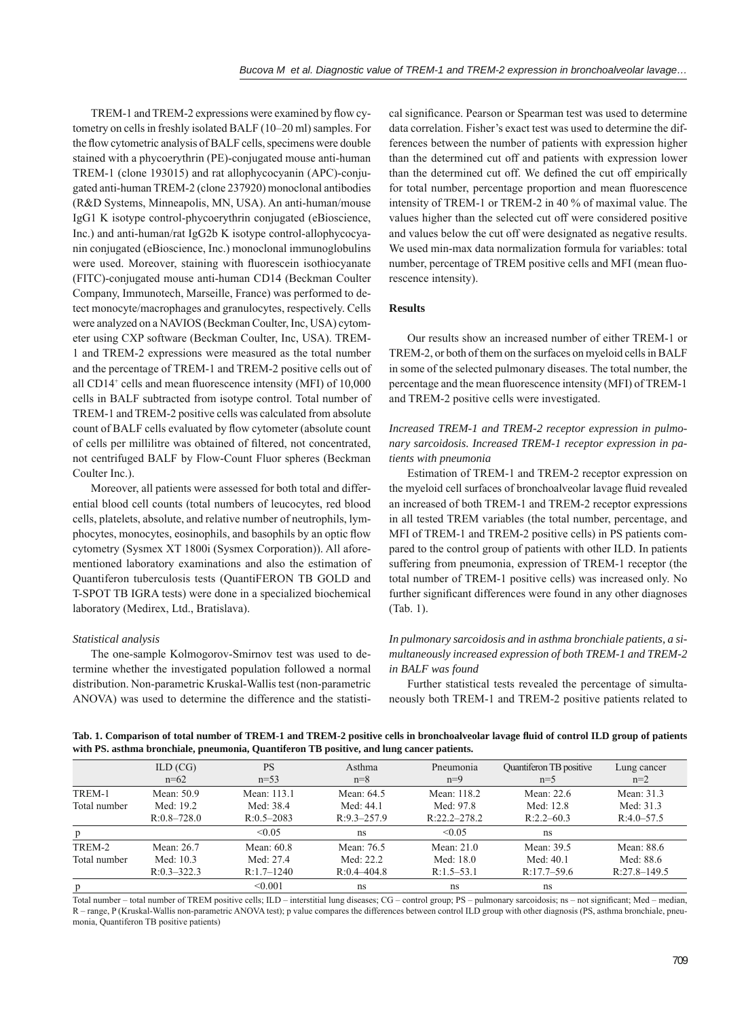TREM-1 and TREM-2 expressions were examined by flow cytometry on cells in freshly isolated BALF (10–20 ml) samples. For the flow cytometric analysis of BALF cells, specimens were double stained with a phycoerythrin (PE)-conjugated mouse anti-human TREM-1 (clone 193015) and rat allophycocyanin (APC)-conjugated anti-human TREM-2 (clone 237920) monoclonal antibodies (R&D Systems, Minneapolis, MN, USA). An anti-human/mouse IgG1 K isotype control-phycoerythrin conjugated (eBioscience, Inc.) and anti-human/rat IgG2b K isotype control-allophycocyanin conjugated (eBioscience, Inc.) monoclonal immunoglobulins were used. Moreover, staining with fluorescein isothiocyanate (FITC)-conjugated mouse anti-human CD14 (Beckman Coulter Company, Immunotech, Marseille, France) was performed to detect monocyte/macrophages and granulocytes, respectively. Cells were analyzed on a NAVIOS (Beckman Coulter, Inc, USA) cytometer using CXP software (Beckman Coulter, Inc, USA). TREM-1 and TREM-2 expressions were measured as the total number and the percentage of TREM-1 and TREM-2 positive cells out of all CD14<sup>+</sup> cells and mean fluorescence intensity (MFI) of 10,000 cells in BALF subtracted from isotype control. Total number of TREM-1 and TREM-2 positive cells was calculated from absolute count of BALF cells evaluated by flow cytometer (absolute count of cells per millilitre was obtained of filtered, not concentrated, not centrifuged BALF by Flow-Count Fluor spheres (Beckman Coulter Inc.).

Moreover, all patients were assessed for both total and differential blood cell counts (total numbers of leucocytes, red blood cells, platelets, absolute, and relative number of neutrophils, lymphocytes, monocytes, eosinophils, and basophils by an optic flow cytometry (Sysmex XT 1800i (Sysmex Corporation)). All aforementioned laboratory examinations and also the estimation of Quantiferon tuberculosis tests (QuantiFERON TB GOLD and T-SPOT TB IGRA tests) were done in a specialized biochemical laboratory (Medirex, Ltd., Bratislava).

#### *Statistical analysis*

The one-sample Kolmogorov-Smirnov test was used to determine whether the investigated population followed a normal distribution. Non-parametric Kruskal-Wallis test (non-parametric ANOVA) was used to determine the difference and the statisti-

cal significance. Pearson or Spearman test was used to determine data correlation. Fisher's exact test was used to determine the differences between the number of patients with expression higher than the determined cut off and patients with expression lower than the determined cut off. We defined the cut off empirically for total number, percentage proportion and mean fluorescence intensity of TREM-1 or TREM-2 in 40 % of maximal value. The values higher than the selected cut off were considered positive and values below the cut off were designated as negative results. We used min-max data normalization formula for variables: total number, percentage of TREM positive cells and MFI (mean fluorescence intensity).

# **Results**

Our results show an increased number of either TREM-1 or TREM-2, or both of them on the surfaces on myeloid cells in BALF in some of the selected pulmonary diseases. The total number, the percentage and the mean fluorescence intensity (MFI) of TREM-1 and TREM-2 positive cells were investigated.

# *Increased TREM-1 and TREM-2 receptor expression in pulmonary sarcoidosis. Increased TREM-1 receptor expression in patients with pneumonia*

Estimation of TREM-1 and TREM-2 receptor expression on the myeloid cell surfaces of bronchoalveolar lavage fluid revealed an increased of both TREM-1 and TREM-2 receptor expressions in all tested TREM variables (the total number, percentage, and MFI of TREM-1 and TREM-2 positive cells) in PS patients compared to the control group of patients with other ILD. In patients suffering from pneumonia, expression of TREM-1 receptor (the total number of TREM-1 positive cells) was increased only. No further significant differences were found in any other diagnoses (Tab. 1).

# *In pulmonary sarcoidosis and in asthma bronchiale patients, a simultaneously increased expression of both TREM-1 and TREM-2 in BALF was found*

Further statistical tests revealed the percentage of simultaneously both TREM-1 and TREM-2 positive patients related to

Tab. 1. Comparison of total number of TREM-1 and TREM-2 positive cells in bronchoalveolar lavage fluid of control ILD group of patients **with PS. asthma bronchiale, pneumonia, Quantiferon TB positive, and lung cancer patients.**

|              | ILD (CG)<br>$n=62$ | <b>PS</b><br>$n=53$ | Asthma<br>$n=8$ | Pneumonia<br>$n=9$ | Quantiferon TB positive<br>$n=5$ | Lung cancer<br>$n=2$ |
|--------------|--------------------|---------------------|-----------------|--------------------|----------------------------------|----------------------|
| TREM-1       | Mean: 50.9         | Mean: 113.1         | Mean: 64.5      | Mean: 118.2        | Mean: $22.6$                     | Mean: 31.3           |
| Total number | Med: 19.2          | Med: 38.4           | Med: 44.1       | Med: 97.8          | Med: 12.8                        | Med: 31.3            |
|              | $R:0.8-728.0$      | $R:0.5-2083$        | $R:9.3-257.9$   | $R:22.2 - 278.2$   | $R:2.2-60.3$                     | $R:4.0-57.5$         |
| p            |                    | < 0.05              | ns              | < 0.05             | ns                               |                      |
| TREM-2       | Mean: 26.7         | Mean: 60.8          | Mean: 76.5      | Mean: $21.0$       | Mean: 39.5                       | Mean: 88.6           |
| Total number | Med: 10.3          | Med: 27.4           | Med: 22.2       | Med: 18.0          | Med: 40.1                        | Med: 88.6            |
|              | $R:0.3-322.3$      | $R:1.7-1240$        | $R:0.4-404.8$   | $R:1.5-53.1$       | $R:17.7-59.6$                    | $R:27.8-149.5$       |
| p            |                    | < 0.001             | ns              | ns                 | ns                               |                      |

Total number – total number of TREM positive cells; ILD – interstitial lung diseases; CG – control group; PS – pulmonary sarcoidosis; ns – not significant; Med – median, R – range, P (Kruskal-Wallis non-parametric ANOVA test); p value compares the differences between control ILD group with other diagnosis (PS, asthma bronchiale, pneumonia, Quantiferon TB positive patients)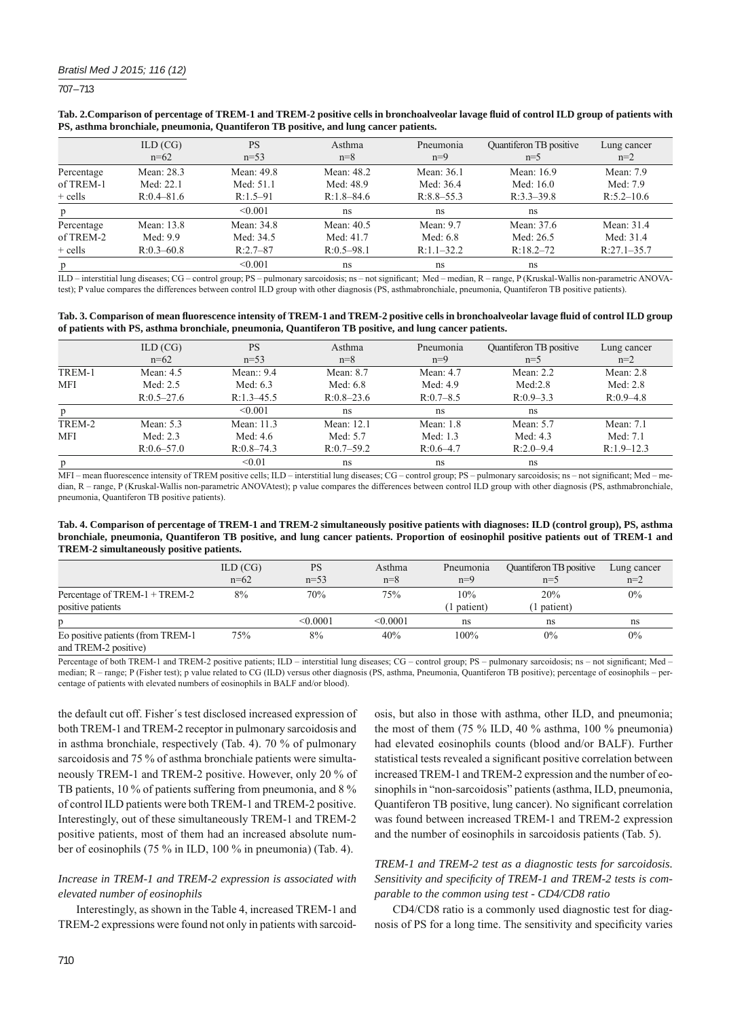707 – 713

|            | ILD (CG)<br>$n=62$ | <b>PS</b><br>$n=53$ | Asthma<br>$n=8$ | Pneumonia<br>$n=9$ | Quantiferon TB positive<br>$n=5$ | Lung cancer<br>$n=2$ |
|------------|--------------------|---------------------|-----------------|--------------------|----------------------------------|----------------------|
| Percentage | Mean: 28.3         | Mean: 49.8          | Mean: 48.2      | Mean: 36.1         | Mean: 16.9                       | Mean: 7.9            |
| of TREM-1  | Med: 22.1          | Med: 51.1           | Med: 48.9       | Med: 36.4          | Med: 16.0                        | Med: 7.9             |
| $+$ cells  | $R:0.4-81.6$       | $R:1.5-91$          | $R:1.8-84.6$    | $R:8.8-55.3$       | $R:3.3-39.8$                     | $R:5.2-10.6$         |
| p          |                    | < 0.001             | ns              | ns                 | ns                               |                      |
| Percentage | Mean: 13.8         | Mean: 34.8          | Mean: $40.5$    | Mean: $9.7$        | Mean: 37.6                       | Mean: 31.4           |
| of TREM-2  | Med: 9.9           | Med: 34.5           | Med: 41.7       | Med: 6.8           | Med: 26.5                        | Med: 31.4            |
| $+$ cells  | $R:0.3-60.8$       | $R:2.7-87$          | $R:0.5-98.1$    | $R:1.1-32.2$       | $R:18.2-72$                      | $R:27.1-35.7$        |
| p          |                    | < 0.001             | ns              | ns                 | ns                               |                      |

#### Tab. 2. Comparison of percentage of TREM-1 and TREM-2 positive cells in bronchoalveolar lavage fluid of control ILD group of patients with **PS, asthma bronchiale, pneumonia, Quantiferon TB positive, and lung cancer patients.**

ILD – interstitial lung diseases; CG – control group; PS – pulmonary sarcoidosis; ns – not significant; Med – median, R – range, P (Kruskal-Wallis non-parametric ANOVAtest); P value compares the differences between control ILD group with other diagnosis (PS, asthmabronchiale, pneumonia, Quantiferon TB positive patients).

| Tab. 3. Comparison of mean fluorescence intensity of TREM-1 and TREM-2 positive cells in bronchoalveolar lavage fluid of control ILD group |
|--------------------------------------------------------------------------------------------------------------------------------------------|
| of patients with PS, asthma bronchiale, pneumonia, Quantiferon TB positive, and lung cancer patients.                                      |

|            | ILD (CG)<br>$n=62$ | <b>PS</b><br>$n=53$ | Asthma<br>$n=8$ | Pneumonia<br>$n=9$ | Quantiferon TB positive<br>$n=5$ | Lung cancer<br>$n=2$ |
|------------|--------------------|---------------------|-----------------|--------------------|----------------------------------|----------------------|
| TREM-1     | Mean: $4.5$        | Mean:: $9.4$        | Mean: 8.7       | Mean: $4.7$        | Mean: $2.2$                      | Mean: $2.8$          |
| <b>MFI</b> | Med: 2.5           | Med: 6.3            | Med: 6.8        | Med: 4.9           | Med:2.8                          | Med: 2.8             |
|            | $R:0.5-27.6$       | $R:1.3-45.5$        | $R:0.8-23.6$    | $R:0.7-8.5$        | $R:0.9-3.3$                      | $R:0.9-4.8$          |
| p          |                    | < 0.001             | ns              | ns                 | ns                               |                      |
| TREM-2     | Mean: $5.3$        | Mean: 11.3          | Mean: 12.1      | Mean: $1.8$        | Mean: 5.7                        | Mean: $7.1$          |
| <b>MFI</b> | Med: $2.3$         | Med: $4.6$          | Med: $5.7$      | Med: 1.3           | Med: 4.3                         | Med: 7.1             |
|            | $R:0.6 - 57.0$     | $R:0.8-74.3$        | $R:0.7-59.2$    | $R:0.6-4.7$        | $R:2.0-9.4$                      | $R:1.9-12.3$         |
| p          |                    | < 0.01              | ns              | ns                 | ns                               |                      |

MFI – mean fluorescence intensity of TREM positive cells; ILD – interstitial lung diseases; CG – control group; PS – pulmonary sarcoidosis; ns – not significant; Med – median, R - range, P (Kruskal-Wallis non-parametric ANOVAtest); p value compares the differences between control ILD group with other diagnosis (PS, asthmabronchiale, pneumonia, Quantiferon TB positive patients).

## **Tab. 4. Comparison of percentage of TREM-1 and TREM-2 simultaneously positive patients with diagnoses: ILD (control group), PS, asthma bronchiale, pneumonia, Quantiferon TB positive, and lung cancer patients. Proportion of eosinophil positive patients out of TREM-1 and TREM-2 simultaneously positive patients.**

|                                                            | ILD (CG)<br>$n=62$ | <b>PS</b><br>$n=53$ | Asthma<br>$n=8$ | Pneumonia<br>$n=9$ | Quantiferon TB positive<br>$n=5$ | Lung cancer<br>$n=2$ |
|------------------------------------------------------------|--------------------|---------------------|-----------------|--------------------|----------------------------------|----------------------|
| Percentage of TREM-1 + TREM-2                              | 8%                 | 70%                 | 75%             | 10%                | 20%                              | 0%                   |
| positive patients                                          |                    |                     |                 | (1 patient)        | l patient)                       |                      |
| D                                                          |                    | < 0.0001            | < 0.0001        | ns                 | ns                               | ns                   |
| Eo positive patients (from TREM-1)<br>and TREM-2 positive) | 75%                | 8%                  | 40%             | 100%               | $0\%$                            | 0%                   |

Percentage of both TREM-1 and TREM-2 positive patients; ILD – interstitial lung diseases; CG – control group; PS – pulmonary sarcoidosis; ns – not significant; Med – median; R – range; P (Fisher test); p value related to CG (ILD) versus other diagnosis (PS, asthma, Pneumonia, Quantiferon TB positive); percentage of eosinophils – percentage of patients with elevated numbers of eosinophils in BALF and/or blood).

the default cut off. Fisher´s test disclosed increased expression of both TREM-1 and TREM-2 receptor in pulmonary sarcoidosis and in asthma bronchiale, respectively (Tab. 4). 70 % of pulmonary sarcoidosis and 75 % of asthma bronchiale patients were simultaneously TREM-1 and TREM-2 positive. However, only 20 % of TB patients, 10 % of patients suffering from pneumonia, and 8 % of control ILD patients were both TREM-1 and TREM-2 positive. Interestingly, out of these simultaneously TREM-1 and TREM-2 positive patients, most of them had an increased absolute number of eosinophils (75 % in ILD, 100 % in pneumonia) (Tab. 4).

# *Increase in TREM-1 and TREM-2 expression is associated with elevated number of eosinophils*

Interestingly, as shown in the Table 4, increased TREM-1 and TREM-2 expressions were found not only in patients with sarcoidosis, but also in those with asthma, other ILD, and pneumonia; the most of them (75 % ILD, 40 % asthma, 100 % pneumonia) had elevated eosinophils counts (blood and/or BALF). Further statistical tests revealed a significant positive correlation between increased TREM-1 and TREM-2 expression and the number of eosinophils in "non-sarcoidosis" patients (asthma, ILD, pneumonia, Quantiferon TB positive, lung cancer). No significant correlation was found between increased TREM-1 and TREM-2 expression and the number of eosinophils in sarcoidosis patients (Tab. 5).

# *TREM-1 and TREM-2 test as a diagnostic tests for sarcoidosis.*  Sensitivity and specificity of TREM-1 and TREM-2 tests is com*parable to the common using test - CD4/CD8 ratio*

CD4/CD8 ratio is a commonly used diagnostic test for diagnosis of PS for a long time. The sensitivity and specificity varies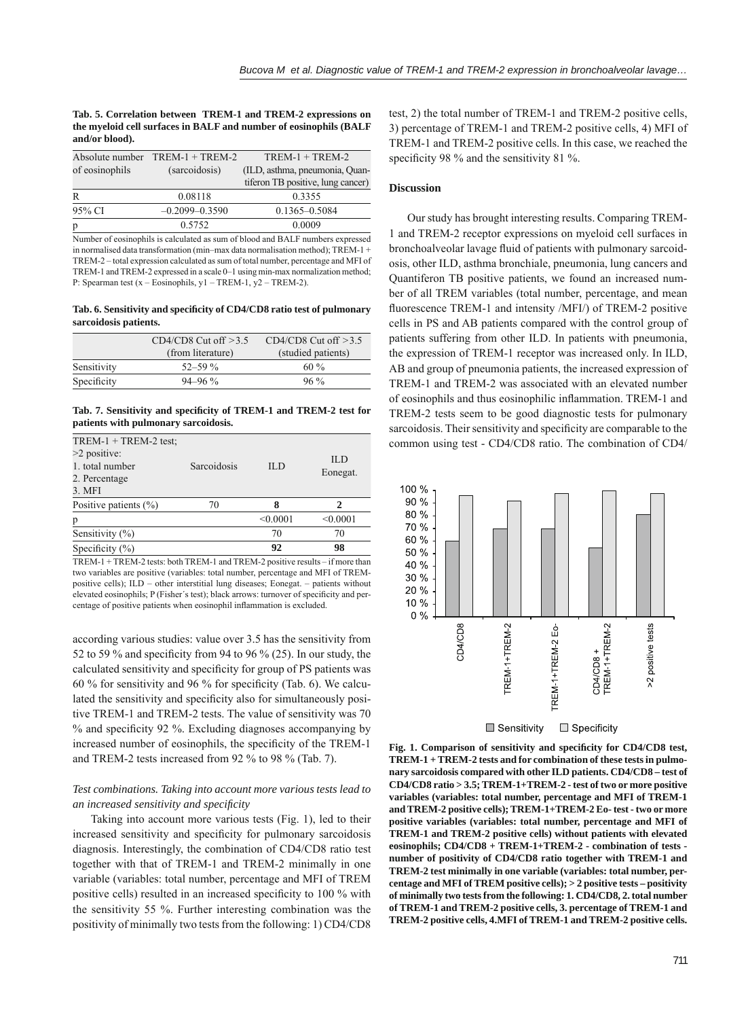**Tab. 5. Correlation between TREM-1 and TREM-2 expressions on the myeloid cell surfaces in BALF and number of eosinophils (BALF and/or blood).**

|                                 | Absolute number $TREM-1 + TREM-2$ | $TREM-1 + TREM-2$                 |  |  |
|---------------------------------|-----------------------------------|-----------------------------------|--|--|
| of eosinophils<br>(sarcoidosis) |                                   | (ILD, asthma, pneumonia, Quan-    |  |  |
|                                 |                                   | tiferon TB positive, lung cancer) |  |  |
| R                               | 0.08118                           | 0.3355                            |  |  |
| 95% CI                          | $-0.2099 - 0.3590$                | 0.1365-0.5084                     |  |  |
| p                               | 0.5752                            | 0.0009                            |  |  |
| $\cdots$                        | .                                 | $\cdots$ $\cdots$                 |  |  |

Number of eosinophils is calculated as sum of blood and BALF numbers expressed in normalised data transformation (min–max data normalisation method); TREM-1 + TREM-2 – total expression calculated as sum of total number, percentage and MFI of TREM-1 and TREM-2 expressed in a scale 0–1 using min-max normalization method; P: Spearman test (x – Eosinophils, y1 – TREM-1, y2 – TREM-2).

Tab. 6. Sensitivity and specificity of CD4/CD8 ratio test of pulmonary **sarcoidosis patients.**

|             | $CD4/CD8$ Cut off $>3.5$ | $CD4/CD8$ Cut off $>3.5$ |
|-------------|--------------------------|--------------------------|
|             | (from literature)        | (studied patients)       |
| Sensitivity | $52 - 59\%$              | $60\%$                   |
| Specificity | $94 - 96\%$              | $96\%$                   |

Tab. 7. Sensitivity and specificity of TREM-1 and TREM-2 test for **patients with pulmonary sarcoidosis.**

| $TREM-1 + TREM-2$ test;<br>$>2$ positive:<br>1. total number<br>2. Percentage<br>3. MFI | Sarcoidosis | <b>ILD</b> | ILD<br>Eonegat. |
|-----------------------------------------------------------------------------------------|-------------|------------|-----------------|
| Positive patients $(\%)$                                                                | 70          | 8          | 2               |
| р                                                                                       |             | < 0.0001   | < 0.0001        |
| Sensitivity $(\% )$                                                                     |             | 70         | 70              |
| Specificity $(\%)$                                                                      |             | 92         | 98              |

TREM-1 + TREM-2 tests: both TREM-1 and TREM-2 positive results – if more than two variables are positive (variables: total number, percentage and MFI of TREMpositive cells); ILD – other interstitial lung diseases; Eonegat. – patients without elevated eosinophils; P (Fisher's test); black arrows: turnover of specificity and percentage of positive patients when eosinophil inflammation is excluded.

according various studies: value over 3.5 has the sensitivity from 52 to 59  $\%$  and specificity from 94 to 96  $\%$  (25). In our study, the calculated sensitivity and specificity for group of PS patients was 60 % for sensitivity and 96 % for specificity (Tab. 6). We calculated the sensitivity and specificity also for simultaneously positive TREM-1 and TREM-2 tests. The value of sensitivity was 70 % and specificity 92 %. Excluding diagnoses accompanying by increased number of eosinophils, the specificity of the TREM-1 and TREM-2 tests increased from 92 % to 98 % (Tab. 7).

## *Test combinations. Taking into account more various tests lead to an increased sensitivity and specifi city*

Taking into account more various tests (Fig. 1), led to their increased sensitivity and specificity for pulmonary sarcoidosis diagnosis. Interestingly, the combination of CD4/CD8 ratio test together with that of TREM-1 and TREM-2 minimally in one variable (variables: total number, percentage and MFI of TREM positive cells) resulted in an increased specificity to 100 % with the sensitivity 55 %. Further interesting combination was the positivity of minimally two tests from the following: 1) CD4/CD8

test, 2) the total number of TREM-1 and TREM-2 positive cells, 3) percentage of TREM-1 and TREM-2 positive cells, 4) MFI of TREM-1 and TREM-2 positive cells. In this case, we reached the specificity 98 % and the sensitivity 81 %.

#### **Discussion**

Our study has brought interesting results. Comparing TREM-1 and TREM-2 receptor expressions on myeloid cell surfaces in bronchoalveolar lavage fluid of patients with pulmonary sarcoidosis, other ILD, asthma bronchiale, pneumonia, lung cancers and Quantiferon TB positive patients, we found an increased number of all TREM variables (total number, percentage, and mean fluorescence TREM-1 and intensity /MFI/) of TREM-2 positive cells in PS and AB patients compared with the control group of patients suffering from other ILD. In patients with pneumonia, the expression of TREM-1 receptor was increased only. In ILD, AB and group of pneumonia patients, the increased expression of TREM-1 and TREM-2 was associated with an elevated number of eosinophils and thus eosinophilic inflammation. TREM-1 and TREM-2 tests seem to be good diagnostic tests for pulmonary sarcoidosis. Their sensitivity and specificity are comparable to the common using test - CD4/CD8 ratio. The combination of CD4/



 $\blacksquare$  Sensitivity  $\Box$  Specificity

Fig. 1. Comparison of sensitivity and specificity for CD4/CD8 test, **TREM-1 + TREM-2 tests and for combination of these tests in pulmonary sarcoidosis compared with other ILD patients. CD4/CD8 – test of CD4/CD8 ratio > 3.5; TREM-1+TREM-2 - test of two or more positive variables (variables: total number, percentage and MFI of TREM-1 and TREM-2 positive cells); TREM-1+TREM-2 Eo- test - two or more positive variables (variables: total number, percentage and MFI of TREM-1 and TREM-2 positive cells) without patients with elevated eosinophils; CD4/CD8 + TREM-1+TREM-2 - combination of tests number of positivity of CD4/CD8 ratio together with TREM-1 and TREM-2 test minimally in one variable (variables: total number, percentage and MFI of TREM positive cells); > 2 positive tests – positivity of minimally two tests from the following: 1. CD4/CD8, 2. total number of TREM-1 and TREM-2 positive cells, 3. percentage of TREM-1 and TREM-2 positive cells, 4.MFI of TREM-1 and TREM-2 positive cells.**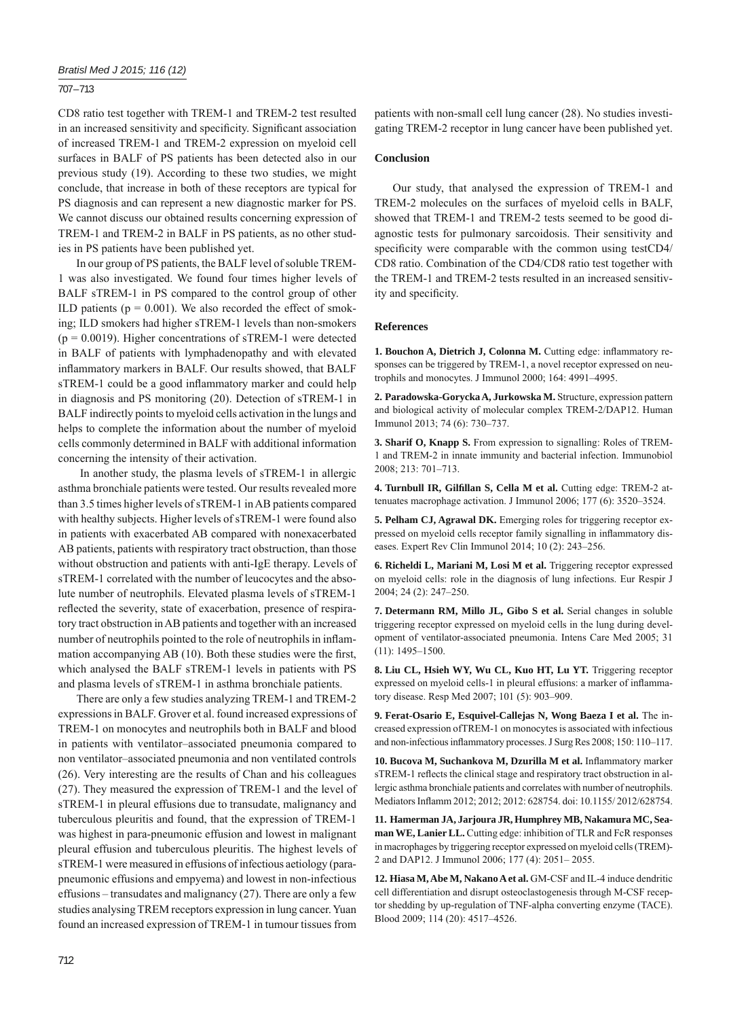## 707 – 713

CD8 ratio test together with TREM-1 and TREM-2 test resulted in an increased sensitivity and specificity. Significant association of increased TREM-1 and TREM-2 expression on myeloid cell surfaces in BALF of PS patients has been detected also in our previous study (19). According to these two studies, we might conclude, that increase in both of these receptors are typical for PS diagnosis and can represent a new diagnostic marker for PS. We cannot discuss our obtained results concerning expression of TREM-1 and TREM-2 in BALF in PS patients, as no other studies in PS patients have been published yet.

In our group of PS patients, the BALF level of soluble TREM-1 was also investigated. We found four times higher levels of BALF sTREM-1 in PS compared to the control group of other ILD patients ( $p = 0.001$ ). We also recorded the effect of smoking; ILD smokers had higher sTREM-1 levels than non-smokers  $(p = 0.0019)$ . Higher concentrations of sTREM-1 were detected in BALF of patients with lymphadenopathy and with elevated inflammatory markers in BALF. Our results showed, that BALF sTREM-1 could be a good inflammatory marker and could help in diagnosis and PS monitoring (20). Detection of sTREM-1 in BALF indirectly points to myeloid cells activation in the lungs and helps to complete the information about the number of myeloid cells commonly determined in BALF with additional information concerning the intensity of their activation.

 In another study, the plasma levels of sTREM-1 in allergic asthma bronchiale patients were tested. Our results revealed more than 3.5 times higher levels of sTREM-1 in AB patients compared with healthy subjects. Higher levels of sTREM-1 were found also in patients with exacerbated AB compared with nonexacerbated AB patients, patients with respiratory tract obstruction, than those without obstruction and patients with anti-IgE therapy. Levels of sTREM-1 correlated with the number of leucocytes and the absolute number of neutrophils. Elevated plasma levels of sTREM-1 reflected the severity, state of exacerbation, presence of respiratory tract obstruction in AB patients and together with an increased number of neutrophils pointed to the role of neutrophils in inflammation accompanying  $AB(10)$ . Both these studies were the first, which analysed the BALF sTREM-1 levels in patients with PS and plasma levels of sTREM-1 in asthma bronchiale patients.

There are only a few studies analyzing TREM-1 and TREM-2 expressions in BALF. Grover et al. found increased expressions of TREM-1 on monocytes and neutrophils both in BALF and blood in patients with ventilator–associated pneumonia compared to non ventilator–associated pneumonia and non ventilated controls (26). Very interesting are the results of Chan and his colleagues (27). They measured the expression of TREM-1 and the level of sTREM-1 in pleural effusions due to transudate, malignancy and tuberculous pleuritis and found, that the expression of TREM-1 was highest in para-pneumonic effusion and lowest in malignant pleural effusion and tuberculous pleuritis. The highest levels of sTREM-1 were measured in effusions of infectious aetiology (parapneumonic effusions and empyema) and lowest in non-infectious effusions – transudates and malignancy (27). There are only a few studies analysing TREM receptors expression in lung cancer. Yuan found an increased expression of TREM-1 in tumour tissues from

patients with non-small cell lung cancer (28). No studies investigating TREM-2 receptor in lung cancer have been published yet.

## **Conclusion**

Our study, that analysed the expression of TREM-1 and TREM-2 molecules on the surfaces of myeloid cells in BALF, showed that TREM-1 and TREM-2 tests seemed to be good diagnostic tests for pulmonary sarcoidosis. Their sensitivity and specificity were comparable with the common using testCD4/ CD8 ratio. Combination of the CD4/CD8 ratio test together with the TREM-1 and TREM-2 tests resulted in an increased sensitivity and specificity.

## **References**

1. Bouchon A, Dietrich J, Colonna M. Cutting edge: inflammatory responses can be triggered by TREM-1, a novel receptor expressed on neutrophils and monocytes. J Immunol 2000; 164: 4991–4995.

**2. Paradowska-Gorycka A, Jurkowska M.** Structure, expression pattern and biological activity of molecular complex TREM-2/DAP12. Human Immunol 2013; 74 (6): 730–737.

**3. Sharif O, Knapp S.** From expression to signalling: Roles of TREM-1 and TREM-2 in innate immunity and bacterial infection. Immunobiol 2008; 213: 701–713.

**4. Turnbull IR, Gilfi llan S, Cella M et al.** Cutting edge: TREM-2 attenuates macrophage activation. J Immunol 2006; 177 (6): 3520–3524.

**5. Pelham CJ, Agrawal DK.** Emerging roles for triggering receptor expressed on myeloid cells receptor family signalling in inflammatory diseases. Expert Rev Clin Immunol 2014; 10 (2): 243–256.

**6. Richeldi L, Mariani M, Losi M et al.** Triggering receptor expressed on myeloid cells: role in the diagnosis of lung infections. Eur Respir J 2004; 24 (2): 247–250.

**7. Determann RM, Millo JL, Gibo S et al.** Serial changes in soluble triggering receptor expressed on myeloid cells in the lung during development of ventilator-associated pneumonia. Intens Care Med 2005; 31 (11): 1495–1500.

**8. Liu CL, Hsieh WY, Wu CL, Kuo HT, Lu YT.** Triggering receptor expressed on myeloid cells-1 in pleural effusions: a marker of inflammatory disease. Resp Med 2007; 101 (5): 903–909.

**9. Ferat-Osario E, Esquivel-Callejas N, Wong Baeza I et al.** The increased expression ofTREM-1 on monocytes is associated with infectious and non-infectious inflammatory processes. J Surg Res 2008; 150: 110-117.

10. Bucova M, Suchankova M, Dzurilla M et al. Inflammatory marker sTREM-1 reflects the clinical stage and respiratory tract obstruction in allergic asthma bronchiale patients and correlates with number of neutrophils. Mediators Inflamm 2012; 2012; 2012: 628754. doi: 10.1155/2012/628754.

**11. Hamerman JA, Jarjoura JR, Humphrey MB, Nakamura MC, Seaman WE, Lanier LL.** Cutting edge: inhibition of TLR and FcR responses in macrophages by triggering receptor expressed on myeloid cells (TREM)- 2 and DAP12. J Immunol 2006; 177 (4): 2051– 2055.

12. Hiasa M, Abe M, Nakano A et al. GM-CSF and IL-4 induce dendritic cell differentiation and disrupt osteoclastogenesis through M-CSF receptor shedding by up-regulation of TNF-alpha converting enzyme (TACE). Blood 2009; 114 (20): 4517–4526.